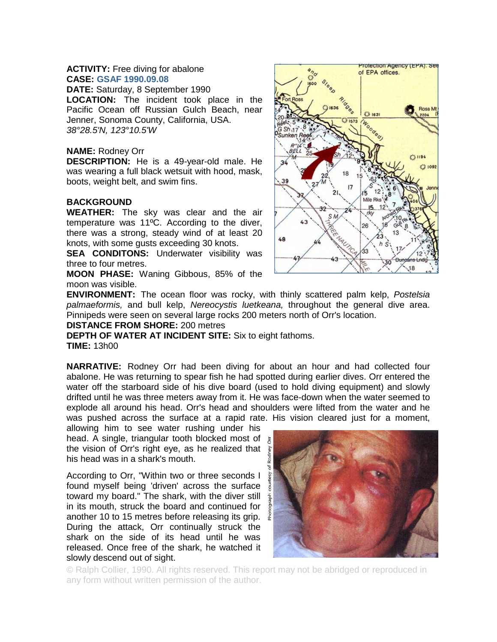# **ACTIVITY:** Free diving for abalone **CASE: GSAF 1990.09.08**

**DATE:** Saturday, 8 September 1990 **LOCATION:** The incident took place in the Pacific Ocean off Russian Gulch Beach, near Jenner, Sonoma County, California, USA. *38°28.5'N, 123°10.5'W*

# **NAME:** Rodney Orr

**DESCRIPTION:** He is a 49-year-old male. He was wearing a full black wetsuit with hood, mask, boots, weight belt, and swim fins.

# **BACKGROUND**

**WEATHER:** The sky was clear and the air temperature was 11ºC. According to the diver, there was a strong, steady wind of at least 20 knots, with some gusts exceeding 30 knots.

**SEA CONDITONS:** Underwater visibility was three to four metres.

**MOON PHASE:** Waning Gibbous, 85% of the moon was visible.



**ENVIRONMENT:** The ocean floor was rocky, with thinly scattered palm kelp, *Postelsia palmaeformis,* and bull kelp, *Nereocystis luetkeana,* throughout the general dive area. Pinnipeds were seen on several large rocks 200 meters north of Orr's location.

## **DISTANCE FROM SHORE:** 200 metres

**DEPTH OF WATER AT INCIDENT SITE:** Six to eight fathoms. **TIME:** 13h00

**NARRATIVE:** Rodney Orr had been diving for about an hour and had collected four abalone. He was returning to spear fish he had spotted during earlier dives. Orr entered the water off the starboard side of his dive board (used to hold diving equipment) and slowly drifted until he was three meters away from it. He was face-down when the water seemed to explode all around his head. Orr's head and shoulders were lifted from the water and he was pushed across the surface at a rapid rate. His vision cleared just for a moment,

allowing him to see water rushing under his head. A single, triangular tooth blocked most of  $\frac{1}{6}$ the vision of Orr's right eye, as he realized that his head was in a shark's mouth.

According to Orr, "Within two or three seconds I found myself being 'driven' across the surface a toward my board." The shark, with the diver still in its mouth, struck the board and continued for another 10 to 15 metres before releasing its grip. During the attack, Orr continually struck the shark on the side of its head until he was released. Once free of the shark, he watched it slowly descend out of sight.



© Ralph Collier, 1990. All rights reserved. This report may not be abridged or reproduced in any form without written permission of the author.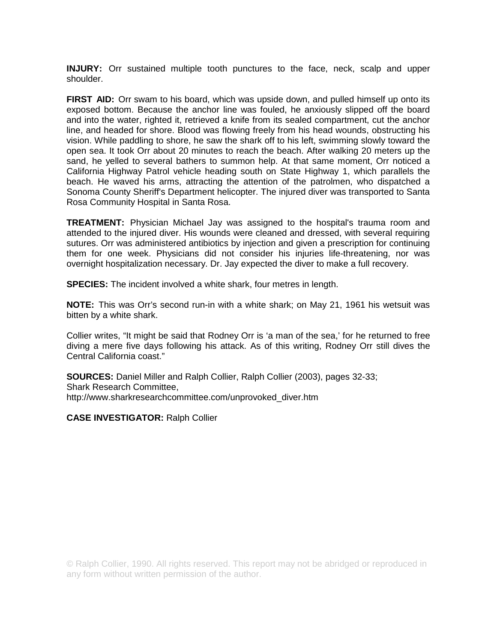**INJURY:** Orr sustained multiple tooth punctures to the face, neck, scalp and upper shoulder.

**FIRST AID:** Orr swam to his board, which was upside down, and pulled himself up onto its exposed bottom. Because the anchor line was fouled, he anxiously slipped off the board and into the water, righted it, retrieved a knife from its sealed compartment, cut the anchor line, and headed for shore. Blood was flowing freely from his head wounds, obstructing his vision. While paddling to shore, he saw the shark off to his left, swimming slowly toward the open sea. It took Orr about 20 minutes to reach the beach. After walking 20 meters up the sand, he yelled to several bathers to summon help. At that same moment, Orr noticed a California Highway Patrol vehicle heading south on State Highway 1, which parallels the beach. He waved his arms, attracting the attention of the patrolmen, who dispatched a Sonoma County Sheriff's Department helicopter. The injured diver was transported to Santa Rosa Community Hospital in Santa Rosa.

**TREATMENT:** Physician Michael Jay was assigned to the hospital's trauma room and attended to the injured diver. His wounds were cleaned and dressed, with several requiring sutures. Orr was administered antibiotics by injection and given a prescription for continuing them for one week. Physicians did not consider his injuries life-threatening, nor was overnight hospitalization necessary. Dr. Jay expected the diver to make a full recovery.

**SPECIES:** The incident involved a white shark, four metres in length.

**NOTE:** This was Orr's second run-in with a white shark; on May 21, 1961 his wetsuit was bitten by a white shark.

Collier writes, "It might be said that Rodney Orr is 'a man of the sea,' for he returned to free diving a mere five days following his attack. As of this writing, Rodney Orr still dives the Central California coast."

**SOURCES:** Daniel Miller and Ralph Collier, Ralph Collier (2003), pages 32-33; Shark Research Committee, http://www.sharkresearchcommittee.com/unprovoked\_diver.htm

**CASE INVESTIGATOR:** Ralph Collier

© Ralph Collier, 1990. All rights reserved. This report may not be abridged or reproduced in any form without written permission of the author.